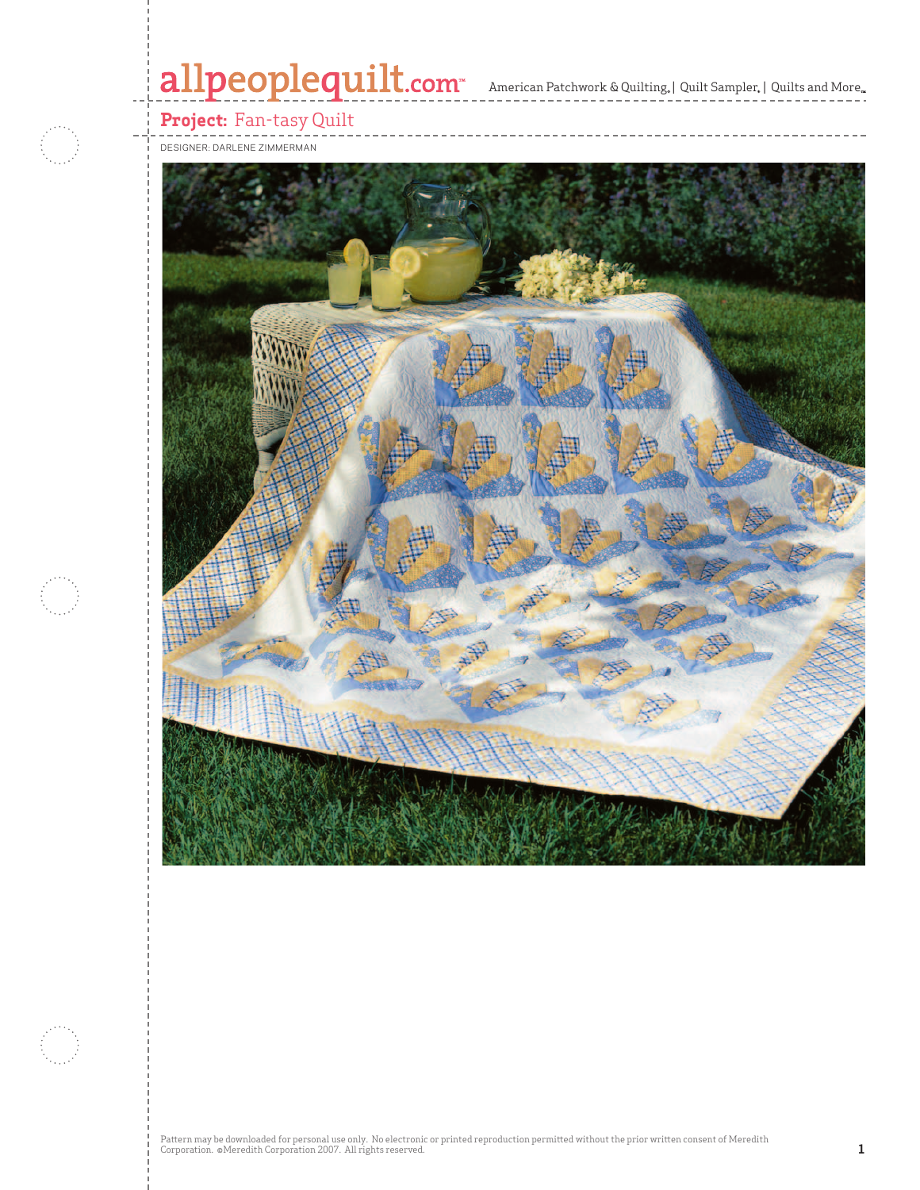# allpeoplequilt.com<sup>-</sup> American Patchwork & Quilting, | Quilt Sampler, | Quilts and More..



## **Project:** Fan-tasy Quilt

DESIGNER: DARLENE ZIMMERMAN

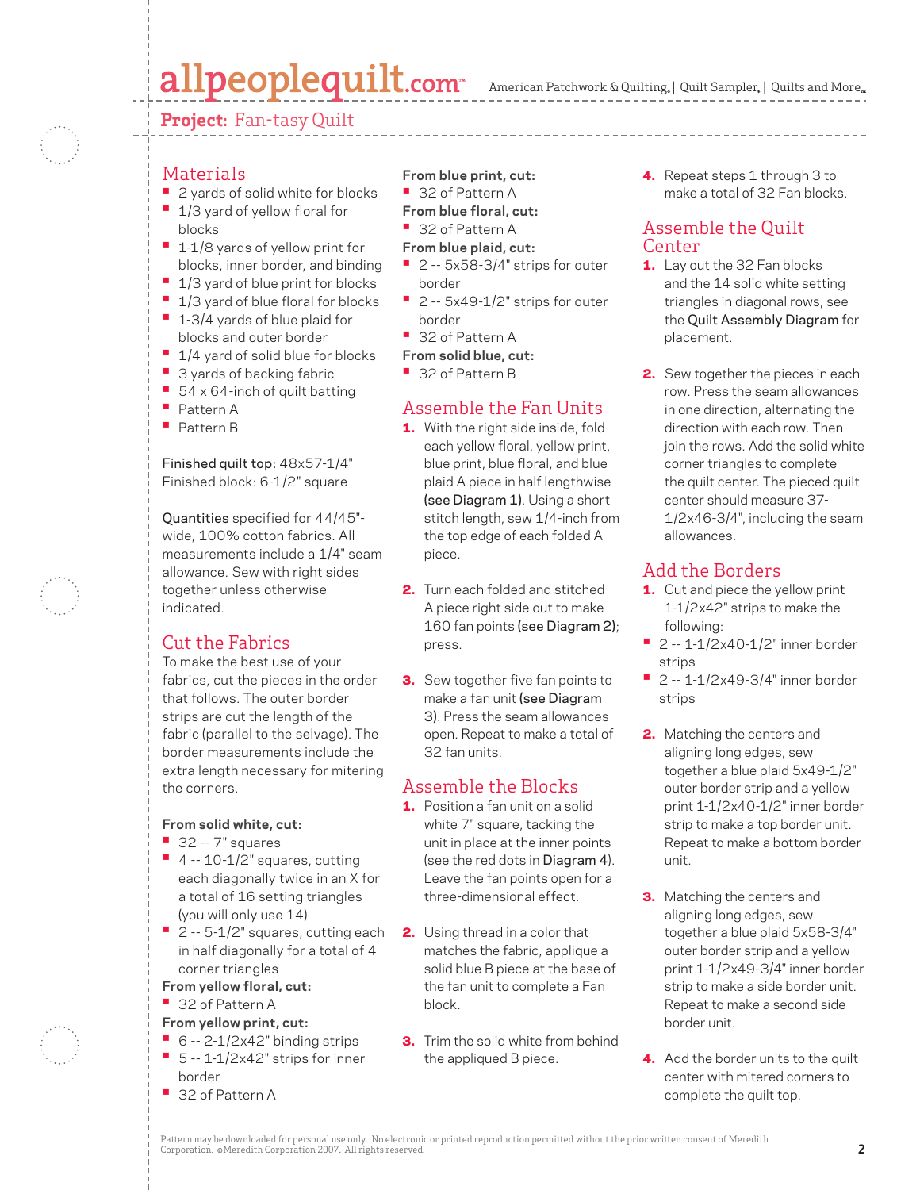# allpeoplequilt.com

American Patchwork & Quilting, | Quilt Sampler, | Quilts and More.

#### **Project:** Fan-tasy Quilt



#### **Materials**

- 2 yards of solid white for blocks **•** 1/3 yard of yellow floral for
- blocks **•** 1-1/8 yards of yellow print for
- blocks, inner border, and binding **•** 1/3 yard of blue print for blocks
- 1/3 yard of blue floral for blocks
- 1-3/4 yards of blue plaid for
- blocks and outer border
- 1/4 yard of solid blue for blocks
- 3 yards of backing fabric
- 54 x 64-inch of quilt batting
- Pattern A
- Pattern B

Finished quilt top: 48x57-1/4" Finished block: 6-1/2" square

Quantities specified for 44/45" wide, 100% cotton fabrics. All measurements include a 1/4" seam allowance. Sew with right sides together unless otherwise indicated.

### Cut the Fabrics

To make the best use of your fabrics, cut the pieces in the order that follows. The outer border strips are cut the length of the fabric (parallel to the selvage). The border measurements include the extra length necessary for mitering the corners.

#### **From solid white, cut:**

- 32 -- 7" squares
- 4 -- 10-1/2" squares, cutting each diagonally twice in an X for a total of 16 setting triangles (you will only use 14)
- 2 -- 5-1/2" squares, cutting each in half diagonally for a total of 4 corner triangles
- **From yellow floral, cut:**
- 32 of Pattern A

#### **From yellow print, cut:**

- 6 -- 2-1/2x42" binding strips **•** 5 -- 1-1/2x42" strips for inner
- border
- 32 of Pattern A
- **From blue print, cut:**
- 32 of Pattern A

#### **From blue floral, cut:**

- 32 of Pattern A
- **From blue plaid, cut:**
- 2 -- 5x58-3/4" strips for outer border
- 2 -- 5x49-1/2" strips for outer border
- 32 of Pattern A
- **From solid blue, cut:**
- 32 of Pattern B

### Assemble the Fan Units

- **1.** With the right side inside, fold each yellow floral, yellow print, blue print, blue floral, and blue plaid A piece in half lengthwise (see Diagram 1). Using a short stitch length, sew 1/4-inch from the top edge of each folded A piece.
- 2. Turn each folded and stitched A piece right side out to make 160 fan points (see Diagram 2); press.
- **3.** Sew together five fan points to make a fan unit (see Diagram 3). Press the seam allowances open. Repeat to make a total of 32 fan units.

### Assemble the Blocks

- 1. Position a fan unit on a solid white 7" square, tacking the unit in place at the inner points (see the red dots in Diagram 4). Leave the fan points open for a three-dimensional effect.
- 2. Using thread in a color that matches the fabric, applique a solid blue B piece at the base of the fan unit to complete a Fan block.
- **3.** Trim the solid white from behind the appliqued B piece.

4. Repeat steps 1 through 3 to make a total of 32 Fan blocks.

#### Assemble the Quilt Center

- **1.** Lay out the 32 Fan blocks and the 14 solid white setting triangles in diagonal rows, see the Quilt Assembly Diagram for placement.
- 2. Sew together the pieces in each row. Press the seam allowances in one direction, alternating the direction with each row. Then join the rows. Add the solid white corner triangles to complete the quilt center. The pieced quilt center should measure 37- 1/2x46-3/4", including the seam allowances.

### Add the Borders

- **1.** Cut and piece the yellow print 1-1/2x42" strips to make the following:
- 2 -- 1-1/2x40-1/2" inner border strips
- 2 -- 1-1/2x49-3/4" inner border strips
- 2. Matching the centers and aligning long edges, sew together a blue plaid 5x49-1/2" outer border strip and a yellow print 1-1/2x40-1/2" inner border strip to make a top border unit. Repeat to make a bottom border unit.
- **3.** Matching the centers and aligning long edges, sew together a blue plaid 5x58-3/4" outer border strip and a yellow print 1-1/2x49-3/4" inner border strip to make a side border unit. Repeat to make a second side border unit.
- 4. Add the border units to the quilt center with mitered corners to complete the quilt top.

Pattern may be downloaded for personal use only. No electronic or printed reproduction permitted without the prior written consent of Meredith Corporation. ©Meredith Corporation 2007. All rights reserved. **2**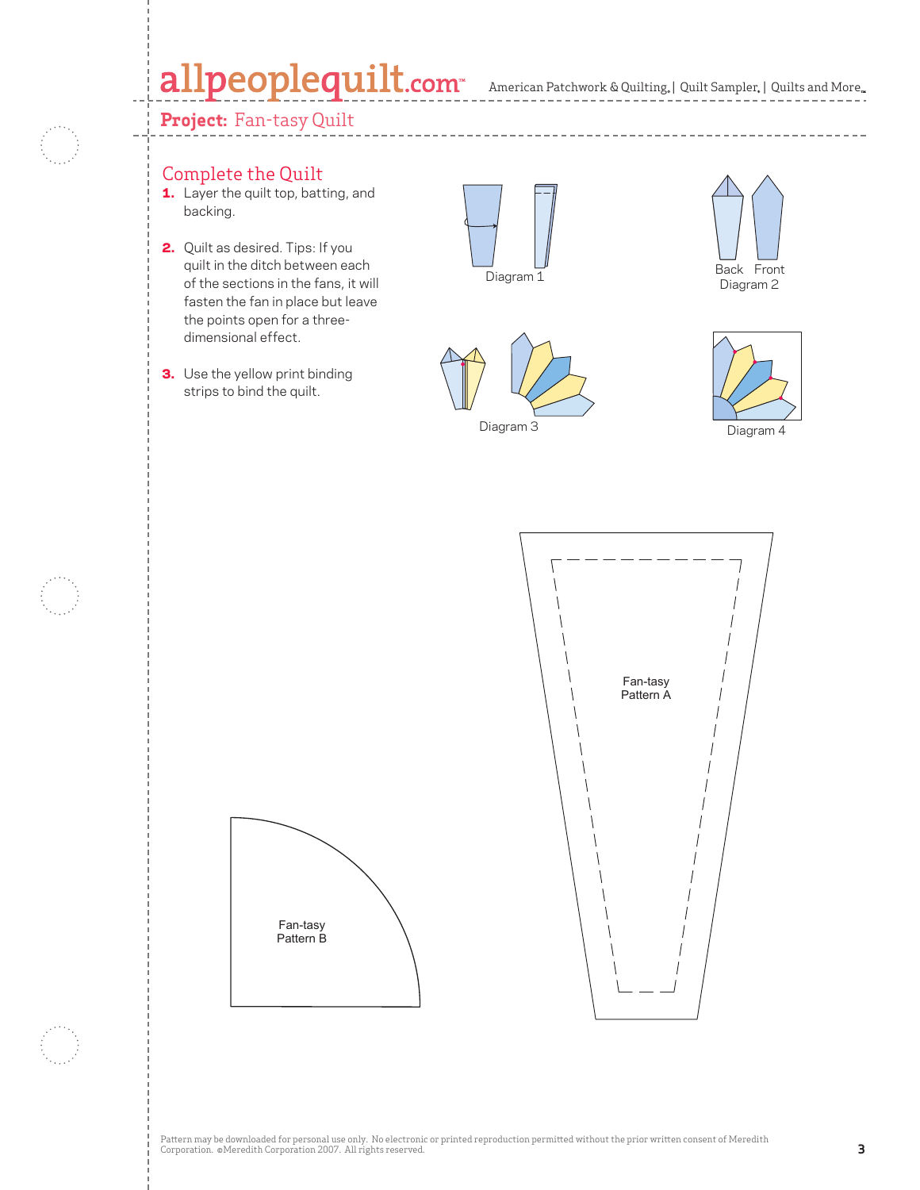# allpeoplequilt.com<sup>®</sup> American Patchwork & Quilting, | Quilt Sampler, | Quilts and More..



#### **Project:** Fan-tasy Quilt

### Complete the Quilt

- 1. Layer the quilt top, batting, and backing.
- 2. Quilt as desired. Tips: If you quilt in the ditch between each of the sections in the fans, it will fasten the fan in place but leave the points open for a threedimensional effect.
- **3.** Use the yellow print binding strips to bind the quilt.